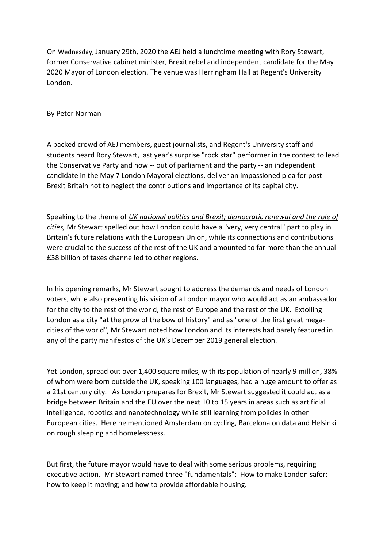On Wednesday, January 29th, 2020 the AEJ held a lunchtime meeting with Rory Stewart, former Conservative cabinet minister, Brexit rebel and independent candidate for the May 2020 Mayor of London election. The venue was Herringham Hall at Regent's University London.

By Peter Norman

A packed crowd of AEJ members, guest journalists, and Regent's University staff and students heard Rory Stewart, last year's surprise "rock star" performer in the contest to lead the Conservative Party and now -- out of parliament and the party -- an independent candidate in the May 7 London Mayoral elections, deliver an impassioned plea for post-Brexit Britain not to neglect the contributions and importance of its capital city.

Speaking to the theme of *UK national politics and Brexit; democratic renewal and the role of cities,* Mr Stewart spelled out how London could have a "very, very central" part to play in Britain's future relations with the European Union, while its connections and contributions were crucial to the success of the rest of the UK and amounted to far more than the annual £38 billion of taxes channelled to other regions.

In his opening remarks, Mr Stewart sought to address the demands and needs of London voters, while also presenting his vision of a London mayor who would act as an ambassador for the city to the rest of the world, the rest of Europe and the rest of the UK. Extolling London as a city "at the prow of the bow of history" and as "one of the first great megacities of the world", Mr Stewart noted how London and its interests had barely featured in any of the party manifestos of the UK's December 2019 general election.

Yet London, spread out over 1,400 square miles, with its population of nearly 9 million, 38% of whom were born outside the UK, speaking 100 languages, had a huge amount to offer as a 21st century city. As London prepares for Brexit, Mr Stewart suggested it could act as a bridge between Britain and the EU over the next 10 to 15 years in areas such as artificial intelligence, robotics and nanotechnology while still learning from policies in other European cities. Here he mentioned Amsterdam on cycling, Barcelona on data and Helsinki on rough sleeping and homelessness.

But first, the future mayor would have to deal with some serious problems, requiring executive action. Mr Stewart named three "fundamentals": How to make London safer; how to keep it moving; and how to provide affordable housing.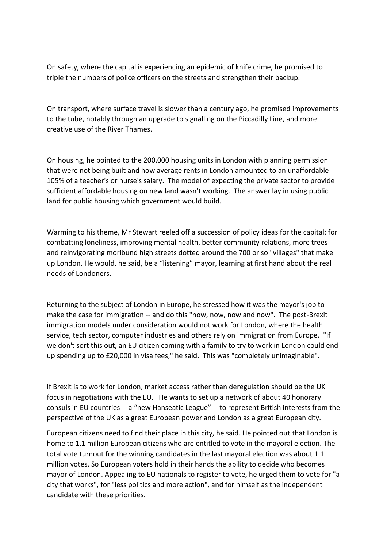On safety, where the capital is experiencing an epidemic of knife crime, he promised to triple the numbers of police officers on the streets and strengthen their backup.

On transport, where surface travel is slower than a century ago, he promised improvements to the tube, notably through an upgrade to signalling on the Piccadilly Line, and more creative use of the River Thames.

On housing, he pointed to the 200,000 housing units in London with planning permission that were not being built and how average rents in London amounted to an unaffordable 105% of a teacher's or nurse's salary. The model of expecting the private sector to provide sufficient affordable housing on new land wasn't working. The answer lay in using public land for public housing which government would build.

Warming to his theme, Mr Stewart reeled off a succession of policy ideas for the capital: for combatting loneliness, improving mental health, better community relations, more trees and reinvigorating moribund high streets dotted around the 700 or so "villages" that make up London. He would, he said, be a "listening" mayor, learning at first hand about the real needs of Londoners.

Returning to the subject of London in Europe, he stressed how it was the mayor's job to make the case for immigration -- and do this "now, now, now and now". The post-Brexit immigration models under consideration would not work for London, where the health service, tech sector, computer industries and others rely on immigration from Europe. "If we don't sort this out, an EU citizen coming with a family to try to work in London could end up spending up to £20,000 in visa fees," he said. This was "completely unimaginable".

If Brexit is to work for London, market access rather than deregulation should be the UK focus in negotiations with the EU. He wants to set up a network of about 40 honorary consuls in EU countries -- a "new Hanseatic League" -- to represent British interests from the perspective of the UK as a great European power and London as a great European city.

European citizens need to find their place in this city, he said. He pointed out that London is home to 1.1 million European citizens who are entitled to vote in the mayoral election. The total vote turnout for the winning candidates in the last mayoral election was about 1.1 million votes. So European voters hold in their hands the ability to decide who becomes mayor of London. Appealing to EU nationals to register to vote, he urged them to vote for "a city that works", for "less politics and more action", and for himself as the independent candidate with these priorities.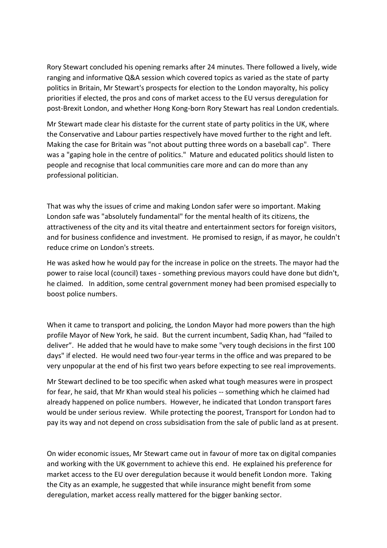Rory Stewart concluded his opening remarks after 24 minutes. There followed a lively, wide ranging and informative Q&A session which covered topics as varied as the state of party politics in Britain, Mr Stewart's prospects for election to the London mayoralty, his policy priorities if elected, the pros and cons of market access to the EU versus deregulation for post-Brexit London, and whether Hong Kong-born Rory Stewart has real London credentials.

Mr Stewart made clear his distaste for the current state of party politics in the UK, where the Conservative and Labour parties respectively have moved further to the right and left. Making the case for Britain was "not about putting three words on a baseball cap". There was a "gaping hole in the centre of politics." Mature and educated politics should listen to people and recognise that local communities care more and can do more than any professional politician.

That was why the issues of crime and making London safer were so important. Making London safe was "absolutely fundamental" for the mental health of its citizens, the attractiveness of the city and its vital theatre and entertainment sectors for foreign visitors, and for business confidence and investment. He promised to resign, if as mayor, he couldn't reduce crime on London's streets.

He was asked how he would pay for the increase in police on the streets. The mayor had the power to raise local (council) taxes - something previous mayors could have done but didn't, he claimed. In addition, some central government money had been promised especially to boost police numbers.

When it came to transport and policing, the London Mayor had more powers than the high profile Mayor of New York, he said. But the current incumbent, Sadiq Khan, had "failed to deliver". He added that he would have to make some "very tough decisions in the first 100 days" if elected. He would need two four-year terms in the office and was prepared to be very unpopular at the end of his first two years before expecting to see real improvements.

Mr Stewart declined to be too specific when asked what tough measures were in prospect for fear, he said, that Mr Khan would steal his policies -- something which he claimed had already happened on police numbers. However, he indicated that London transport fares would be under serious review. While protecting the poorest, Transport for London had to pay its way and not depend on cross subsidisation from the sale of public land as at present.

On wider economic issues, Mr Stewart came out in favour of more tax on digital companies and working with the UK government to achieve this end. He explained his preference for market access to the EU over deregulation because it would benefit London more. Taking the City as an example, he suggested that while insurance might benefit from some deregulation, market access really mattered for the bigger banking sector.